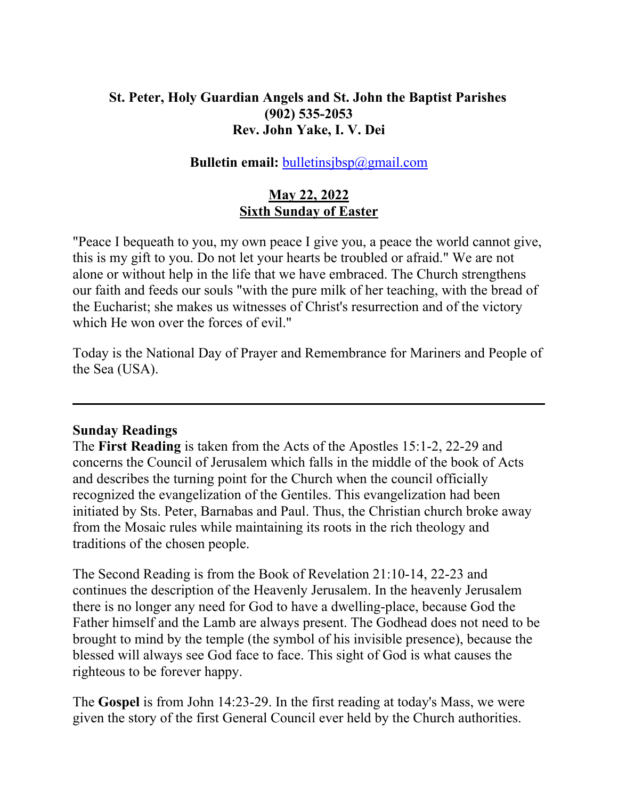## **St. Peter, Holy Guardian Angels and St. John the Baptist Parishes (902) 535-2053 Rev. John Yake, I. V. Dei**

### **Bulletin email: bulletinsjbsp**@gmail.com

### **May 22, 2022 Sixth Sunday of Easter**

"Peace I bequeath to you, my own peace I give you, a peace the world cannot give, this is my gift to you. Do not let your hearts be troubled or afraid." We are not alone or without help in the life that we have embraced. The Church strengthens our faith and feeds our souls "with the pure milk of her teaching, with the bread of the Eucharist; she makes us witnesses of Christ's resurrection and of the victory which He won over the forces of evil."

Today is the National Day of Prayer and Remembrance for Mariners and People of the Sea (USA).

### **Sunday Readings**

The **First Reading** is taken from the Acts of the Apostles 15:1-2, 22-29 and concerns the Council of Jerusalem which falls in the middle of the book of Acts and describes the turning point for the Church when the council officially recognized the evangelization of the Gentiles. This evangelization had been initiated by Sts. Peter, Barnabas and Paul. Thus, the Christian church broke away from the Mosaic rules while maintaining its roots in the rich theology and traditions of the chosen people.

The Second Reading is from the Book of Revelation 21:10-14, 22-23 and continues the description of the Heavenly Jerusalem. In the heavenly Jerusalem there is no longer any need for God to have a dwelling-place, because God the Father himself and the Lamb are always present. The Godhead does not need to be brought to mind by the temple (the symbol of his invisible presence), because the blessed will always see God face to face. This sight of God is what causes the righteous to be forever happy.

The **Gospel** is from John 14:23-29. In the first reading at today's Mass, we were given the story of the first General Council ever held by the Church authorities.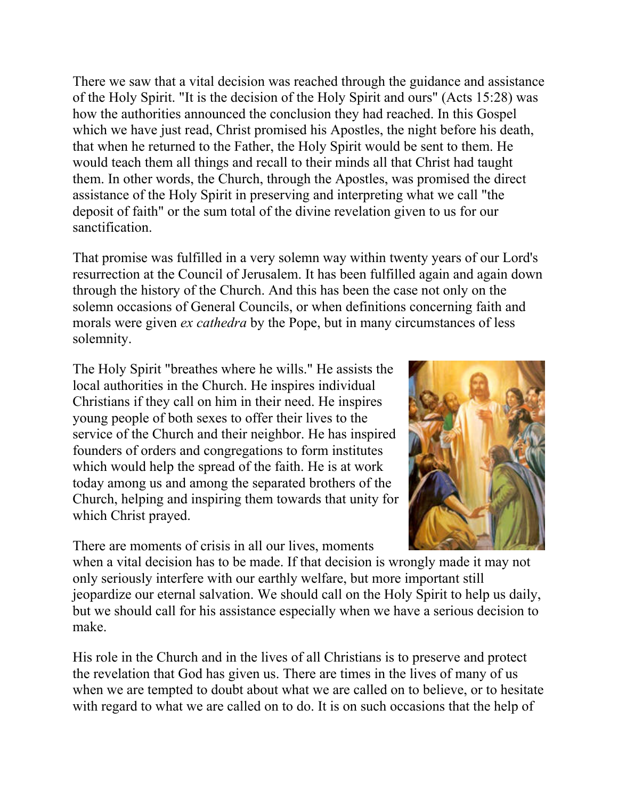There we saw that a vital decision was reached through the guidance and assistance of the Holy Spirit. "It is the decision of the Holy Spirit and ours" (Acts 15:28) was how the authorities announced the conclusion they had reached. In this Gospel which we have just read, Christ promised his Apostles, the night before his death, that when he returned to the Father, the Holy Spirit would be sent to them. He would teach them all things and recall to their minds all that Christ had taught them. In other words, the Church, through the Apostles, was promised the direct assistance of the Holy Spirit in preserving and interpreting what we call "the deposit of faith" or the sum total of the divine revelation given to us for our sanctification.

That promise was fulfilled in a very solemn way within twenty years of our Lord's resurrection at the Council of Jerusalem. It has been fulfilled again and again down through the history of the Church. And this has been the case not only on the solemn occasions of General Councils, or when definitions concerning faith and morals were given *ex cathedra* by the Pope, but in many circumstances of less solemnity.

The Holy Spirit "breathes where he wills." He assists the local authorities in the Church. He inspires individual Christians if they call on him in their need. He inspires young people of both sexes to offer their lives to the service of the Church and their neighbor. He has inspired founders of orders and congregations to form institutes which would help the spread of the faith. He is at work today among us and among the separated brothers of the Church, helping and inspiring them towards that unity for which Christ prayed.

There are moments of crisis in all our lives, moments



when a vital decision has to be made. If that decision is wrongly made it may not only seriously interfere with our earthly welfare, but more important still jeopardize our eternal salvation. We should call on the Holy Spirit to help us daily, but we should call for his assistance especially when we have a serious decision to make.

His role in the Church and in the lives of all Christians is to preserve and protect the revelation that God has given us. There are times in the lives of many of us when we are tempted to doubt about what we are called on to believe, or to hesitate with regard to what we are called on to do. It is on such occasions that the help of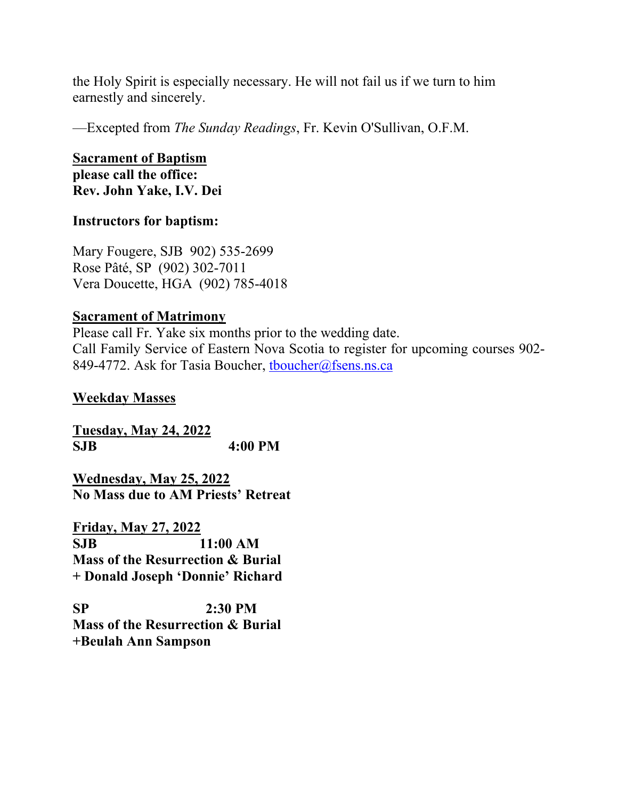the Holy Spirit is especially necessary. He will not fail us if we turn to him earnestly and sincerely.

—Excepted from *The Sunday Readings*, Fr. Kevin O'Sullivan, O.F.M.

### **Sacrament of Baptism please call the office: Rev. John Yake, I.V. Dei**

## **Instructors for baptism:**

Mary Fougere, SJB 902) 535-2699 Rose Pâté, SP (902) 302-7011 Vera Doucette, HGA (902) 785-4018

## **Sacrament of Matrimony**

Please call Fr. Yake six months prior to the wedding date. Call Family Service of Eastern Nova Scotia to register for upcoming courses 902- 849-4772. Ask for Tasia Boucher, thoucher@fsens.ns.ca

## **Weekday Masses**

**Tuesday, May 24, 2022 SJB 4:00 PM**

**Wednesday, May 25, 2022 No Mass due to AM Priests' Retreat**

**Friday, May 27, 2022 SJB 11:00 AM Mass of the Resurrection & Burial + Donald Joseph 'Donnie' Richard**

**SP 2:30 PM Mass of the Resurrection & Burial +Beulah Ann Sampson**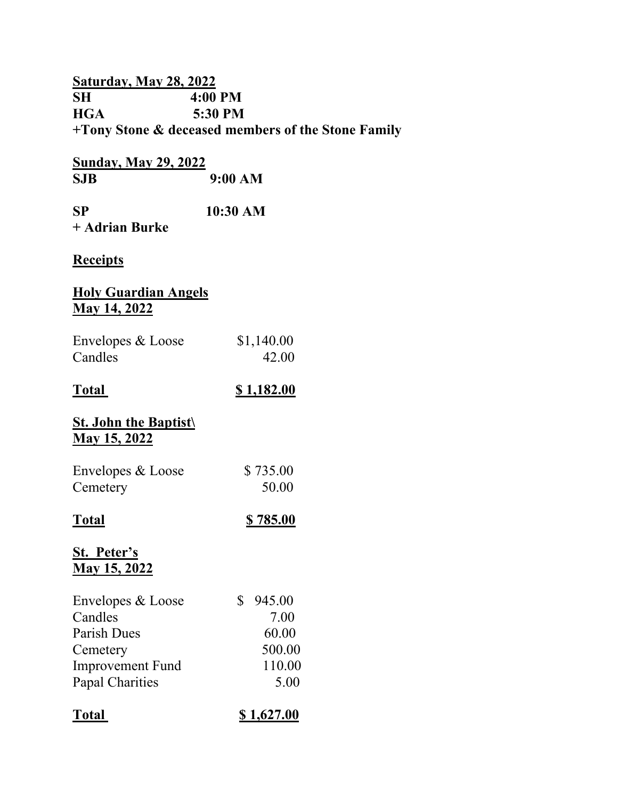## **Saturday, May 28, 2022 SH** 4:00 PM<br> **HGA** 5:30 PM 5:30 PM **+Tony Stone & deceased members of the Stone Family**

| Sunday, May 29, 2022 |  |         |  |
|----------------------|--|---------|--|
| SJB                  |  | 9:00 AM |  |

| SP             | $10:30$ AM |
|----------------|------------|
| + Adrian Burke |            |

### **Receipts**

## **Holy Guardian Angels May 14, 2022**

| Envelopes & Loose | \$1,140.00 |
|-------------------|------------|
| Candles           | 42.00      |

## **Total \$ 1,182.00**

## **St. John the Baptist\ May 15, 2022**

| Envelopes & Loose | \$735.00 |
|-------------------|----------|
| Cemetery          | 50.00    |

## **Total \$ 785.00**

## **St. Peter's May 15, 2022**

| Envelopes & Loose       | 945.00 |
|-------------------------|--------|
| Candles                 | 7.00   |
| Parish Dues             | 60.00  |
| Cemetery                | 500.00 |
| <b>Improvement Fund</b> | 110.00 |
| <b>Papal Charities</b>  | 5.00   |
|                         |        |

| <b>Total</b> | \$1,627.00 |
|--------------|------------|
|--------------|------------|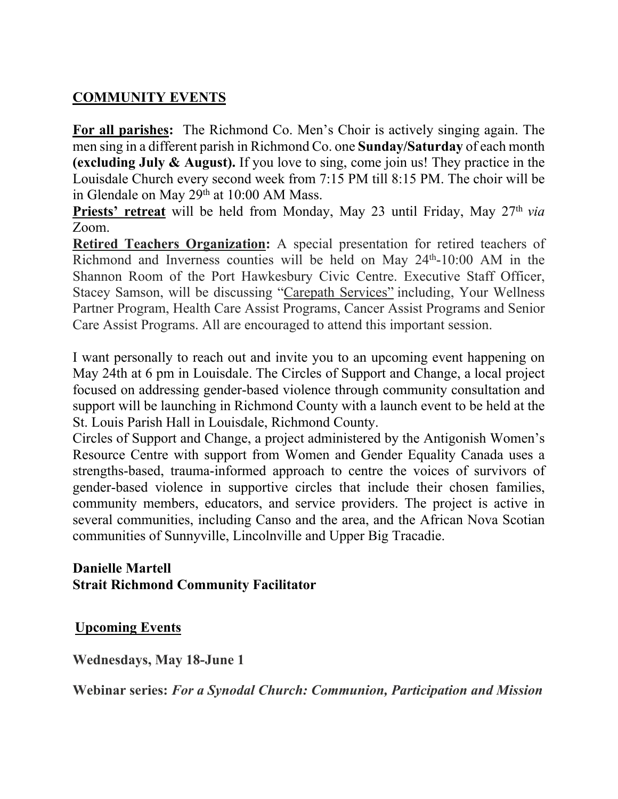## **COMMUNITY EVENTS**

**For all parishes:** The Richmond Co. Men's Choir is actively singing again. The men sing in a different parish in Richmond Co. one **Sunday/Saturday** of each month **(excluding July & August).** If you love to sing, come join us! They practice in the Louisdale Church every second week from 7:15 PM till 8:15 PM. The choir will be in Glendale on May 29th at 10:00 AM Mass.

**Priests' retreat** will be held from Monday, May 23 until Friday, May 27<sup>th</sup> *via* Zoom.

**Retired Teachers Organization:** A special presentation for retired teachers of Richmond and Inverness counties will be held on May 24th-10:00 AM in the Shannon Room of the Port Hawkesbury Civic Centre. Executive Staff Officer, Stacey Samson, will be discussing "Carepath Services" including, Your Wellness Partner Program, Health Care Assist Programs, Cancer Assist Programs and Senior Care Assist Programs. All are encouraged to attend this important session.

I want personally to reach out and invite you to an upcoming event happening on May 24th at 6 pm in Louisdale. The Circles of Support and Change, a local project focused on addressing gender-based violence through community consultation and support will be launching in Richmond County with a launch event to be held at the St. Louis Parish Hall in Louisdale, Richmond County.

Circles of Support and Change, a project administered by the Antigonish Women's Resource Centre with support from Women and Gender Equality Canada uses a strengths-based, trauma-informed approach to centre the voices of survivors of gender-based violence in supportive circles that include their chosen families, community members, educators, and service providers. The project is active in several communities, including Canso and the area, and the African Nova Scotian communities of Sunnyville, Lincolnville and Upper Big Tracadie.

## **Danielle Martell Strait Richmond Community Facilitator**

**Upcoming Events**

**Wednesdays, May 18-June 1**

**Webinar series:** *For a Synodal Church: Communion, Participation and Mission*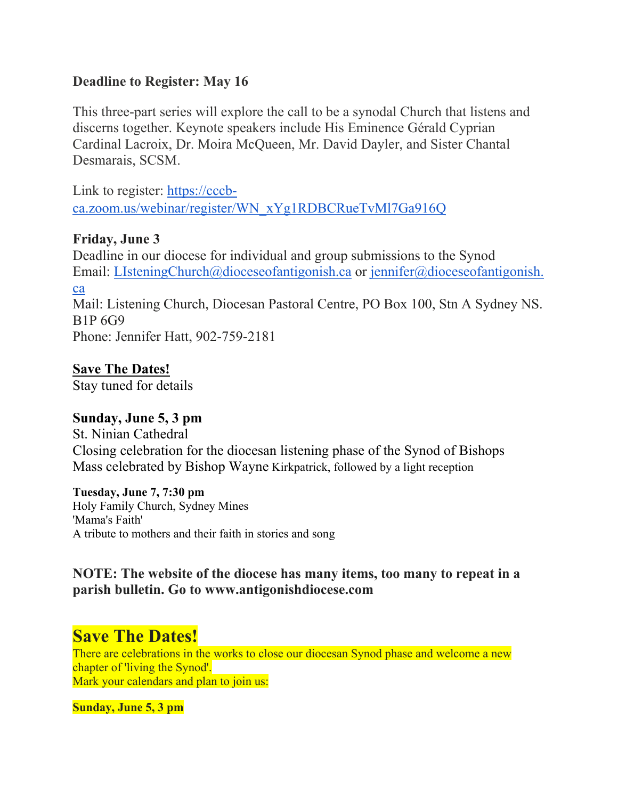## **Deadline to Register: May 16**

This three-part series will explore the call to be a synodal Church that listens and discerns together. Keynote speakers include His Eminence Gérald Cyprian Cardinal Lacroix, Dr. Moira McQueen, Mr. David Dayler, and Sister Chantal Desmarais, SCSM.

Link to register: [https://cccb](https://cccb-ca.zoom.us/webinar/register/WN_xYg1RDBCRueTvMl7Ga916Q)[ca.zoom.us/webinar/register/WN\\_xYg1RDBCRueTvMl7Ga916Q](https://cccb-ca.zoom.us/webinar/register/WN_xYg1RDBCRueTvMl7Ga916Q)

## **Friday, June 3**

Deadline in our diocese for individual and group submissions to the Synod Email: [LIsteningChurch@dioceseofantigonish.ca](mailto:LIsteningChurch@dioceseofantigonish.ca) or [jennifer@dioceseofantigonish.](mailto:jennifer@dioceseofantigonish.ca) [ca](mailto:jennifer@dioceseofantigonish.ca) Mail: Listening Church, Diocesan Pastoral Centre, PO Box 100, Stn A Sydney NS. B1P 6G9 Phone: Jennifer Hatt, 902-759-2181

**Save The Dates!** Stay tuned for details

## **Sunday, June 5, 3 pm**

St. Ninian Cathedral Closing celebration for the diocesan listening phase of the Synod of Bishops Mass celebrated by Bishop Wayne Kirkpatrick, followed by a light reception

**Tuesday, June 7, 7:30 pm** Holy Family Church, Sydney Mines 'Mama's Faith' A tribute to mothers and their faith in stories and song

## **NOTE: The website of the diocese has many items, too many to repeat in a parish bulletin. Go to www.antigonishdiocese.com**

# **Save The Dates!**

There are celebrations in the works to close our diocesan Synod phase and welcome a new chapter of 'living the Synod'. Mark your calendars and plan to join us:

**Sunday, June 5, 3 pm**